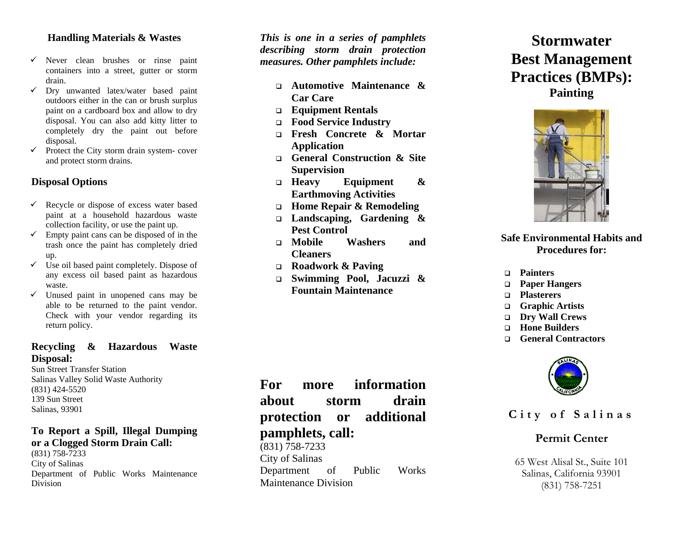### **Handling Materials & Wastes**

- $\checkmark$  Never clean brushes or rinse paint containers into a street, gutter or storm drain.
- $\checkmark$  Dry unwanted latex/water based paint outdoors either in the can or brush surplus paint on a cardboard box and allow to dry disposal. You can also add kitty litter to completely dry the paint out before disposal.
- $\checkmark$  Protect the City storm drain system- cover and protect storm drains.

## **Disposal Options**

- $\checkmark$  Recycle or dispose of excess water based paint at a household hazardous waste collection facility, or use the paint up.
- $\checkmark$  Empty paint cans can be disposed of in the trash once the paint has completely dried up.
- $\checkmark$  Use oil based paint completely. Dispose of any excess oil based paint as hazardous waste.
- $\checkmark$  Unused paint in unopened cans may be able to be returned to the paint vendor. Check with your vendor regarding its return policy.

### **Recycling & Hazardous Waste Disposal:**

Sun Street Transfer Station Salinas Valley Solid Waste Authority (831) 424-5520 139 Sun Street Salinas, 93901

#### **To Report a Spill, Illegal Dumping or a Clogged Storm Drain Call:**

(831) 758-7233 City of Salinas Department of Public Works Maintenance Division

*This is one in a series of pamphlets describing storm drain protection measures. Other pamphlets include:*

- **Automotive Maintenance & Car Care**
- **Equipment Rentals**
- **Food Service Industry**
- **Fresh Concrete & Mortar Application**
- **General Construction & Site Supervision**
- $\Box$  Heavy **Equipment** & **Earthmoving Activities**
- **Home Repair & Remodeling**
- **Landscaping, Gardening & Pest Control**
- **Mobile Washers and Cleaners**
- **Roadwork & Paving**
- **Swimming Pool, Jacuzzi & Fountain Maintenance**

**For more information about storm drain protection or additional pamphlets, call:** 

 $(831)$  758-7233 City of Salinas Department of Public Works Maintenance Division

# **Stormwater Best Management Practices (BMPs): Painting**



## **Safe Environmental Habits and Procedures for:**

**Painters** 

- **Paper Hangers**
- **Plasterers**
- **Graphic Artists**
- $\Box$ **Dry Wall Crews**
- **Hone Builders**
- $\Box$ **General Contractors**



**City of Salinas** 

## **Permit Center**

65 West Alisal St., Suite 101 Salinas, California 93901 (831) 758-7251